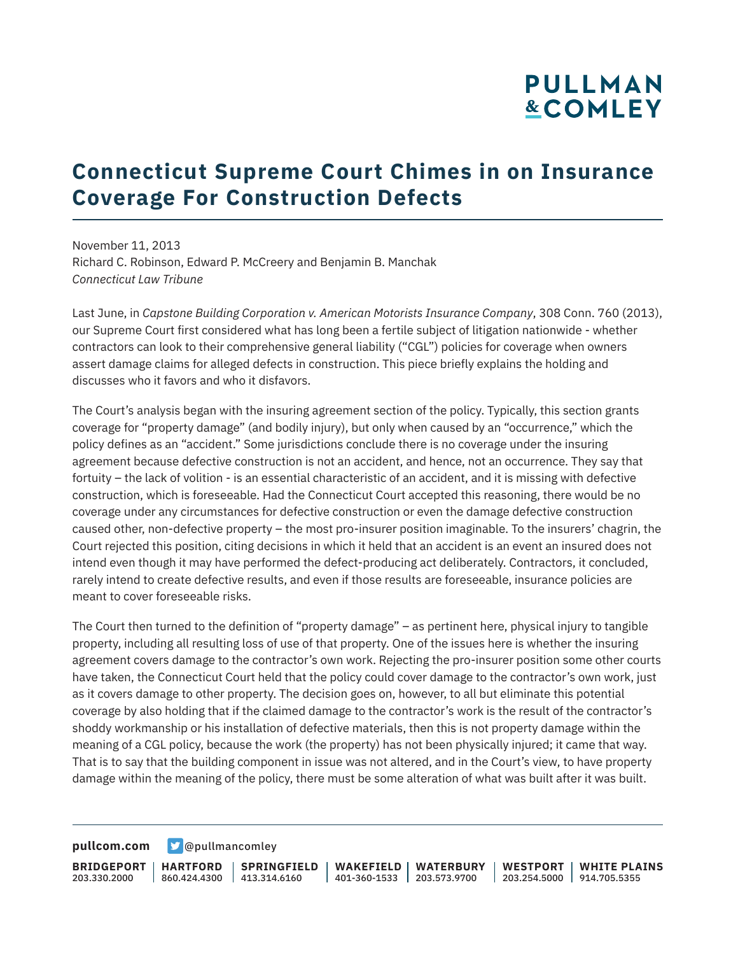# **PULLMAN &COMLEY**

### **Connecticut Supreme Court Chimes in on Insurance Coverage For Construction Defects**

November 11, 2013 Richard C. Robinson, Edward P. McCreery and Benjamin B. Manchak *Connecticut Law Tribune*

Last June, in *Capstone Building Corporation v. American Motorists Insurance Company*, 308 Conn. 760 (2013), our Supreme Court first considered what has long been a fertile subject of litigation nationwide - whether contractors can look to their comprehensive general liability ("CGL") policies for coverage when owners assert damage claims for alleged defects in construction. This piece briefly explains the holding and discusses who it favors and who it disfavors.

The Court's analysis began with the insuring agreement section of the policy. Typically, this section grants coverage for "property damage" (and bodily injury), but only when caused by an "occurrence," which the policy defines as an "accident." Some jurisdictions conclude there is no coverage under the insuring agreement because defective construction is not an accident, and hence, not an occurrence. They say that fortuity – the lack of volition - is an essential characteristic of an accident, and it is missing with defective construction, which is foreseeable. Had the Connecticut Court accepted this reasoning, there would be no coverage under any circumstances for defective construction or even the damage defective construction caused other, non-defective property – the most pro-insurer position imaginable. To the insurers' chagrin, the Court rejected this position, citing decisions in which it held that an accident is an event an insured does not intend even though it may have performed the defect-producing act deliberately. Contractors, it concluded, rarely intend to create defective results, and even if those results are foreseeable, insurance policies are meant to cover foreseeable risks.

The Court then turned to the definition of "property damage" – as pertinent here, physical injury to tangible property, including all resulting loss of use of that property. One of the issues here is whether the insuring agreement covers damage to the contractor's own work. Rejecting the pro-insurer position some other courts have taken, the Connecticut Court held that the policy could cover damage to the contractor's own work, just as it covers damage to other property. The decision goes on, however, to all but eliminate this potential coverage by also holding that if the claimed damage to the contractor's work is the result of the contractor's shoddy workmanship or his installation of defective materials, then this is not property damage within the meaning of a CGL policy, because the work (the property) has not been physically injured; it came that way. That is to say that the building component in issue was not altered, and in the Court's view, to have property damage within the meaning of the policy, there must be some alteration of what was built after it was built.

**[pullcom.com](https://www.pullcom.com) g** [@pullmancomley](https://twitter.com/PullmanComley)

**BRIDGEPORT HARTFORD** 203.330.2000 860.424.4300 413.314.6160 **SPRINGFIELD WAKEFIELD WATERBURY** 401-360-1533 203.573.9700 **WESTPORT WHITE PLAINS** 203.254.5000 914.705.5355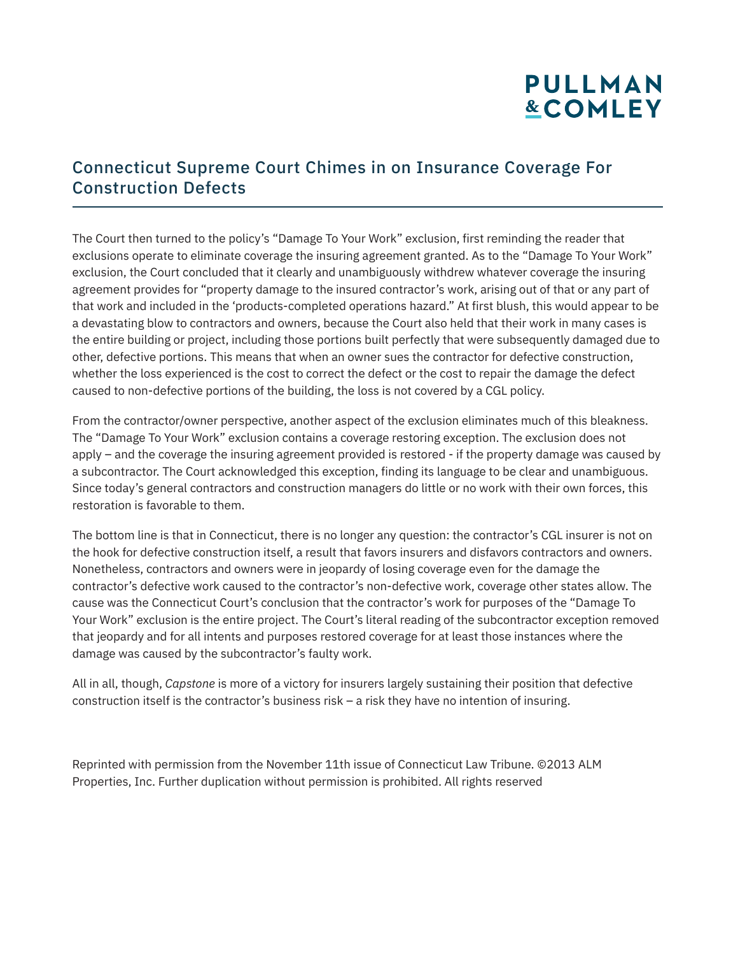# **PULLMAN &COMLEY**

#### Connecticut Supreme Court Chimes in on Insurance Coverage For Construction Defects

The Court then turned to the policy's "Damage To Your Work" exclusion, first reminding the reader that exclusions operate to eliminate coverage the insuring agreement granted. As to the "Damage To Your Work" exclusion, the Court concluded that it clearly and unambiguously withdrew whatever coverage the insuring agreement provides for "property damage to the insured contractor's work, arising out of that or any part of that work and included in the 'products-completed operations hazard." At first blush, this would appear to be a devastating blow to contractors and owners, because the Court also held that their work in many cases is the entire building or project, including those portions built perfectly that were subsequently damaged due to other, defective portions. This means that when an owner sues the contractor for defective construction, whether the loss experienced is the cost to correct the defect or the cost to repair the damage the defect caused to non-defective portions of the building, the loss is not covered by a CGL policy.

From the contractor/owner perspective, another aspect of the exclusion eliminates much of this bleakness. The "Damage To Your Work" exclusion contains a coverage restoring exception. The exclusion does not apply – and the coverage the insuring agreement provided is restored - if the property damage was caused by a subcontractor. The Court acknowledged this exception, finding its language to be clear and unambiguous. Since today's general contractors and construction managers do little or no work with their own forces, this restoration is favorable to them.

The bottom line is that in Connecticut, there is no longer any question: the contractor's CGL insurer is not on the hook for defective construction itself, a result that favors insurers and disfavors contractors and owners. Nonetheless, contractors and owners were in jeopardy of losing coverage even for the damage the contractor's defective work caused to the contractor's non-defective work, coverage other states allow. The cause was the Connecticut Court's conclusion that the contractor's work for purposes of the "Damage To Your Work" exclusion is the entire project. The Court's literal reading of the subcontractor exception removed that jeopardy and for all intents and purposes restored coverage for at least those instances where the damage was caused by the subcontractor's faulty work.

All in all, though, *Capstone* is more of a victory for insurers largely sustaining their position that defective construction itself is the contractor's business risk – a risk they have no intention of insuring.

Reprinted with permission from the November 11th issue of Connecticut Law Tribune. ©2013 ALM Properties, Inc. Further duplication without permission is prohibited. All rights reserved